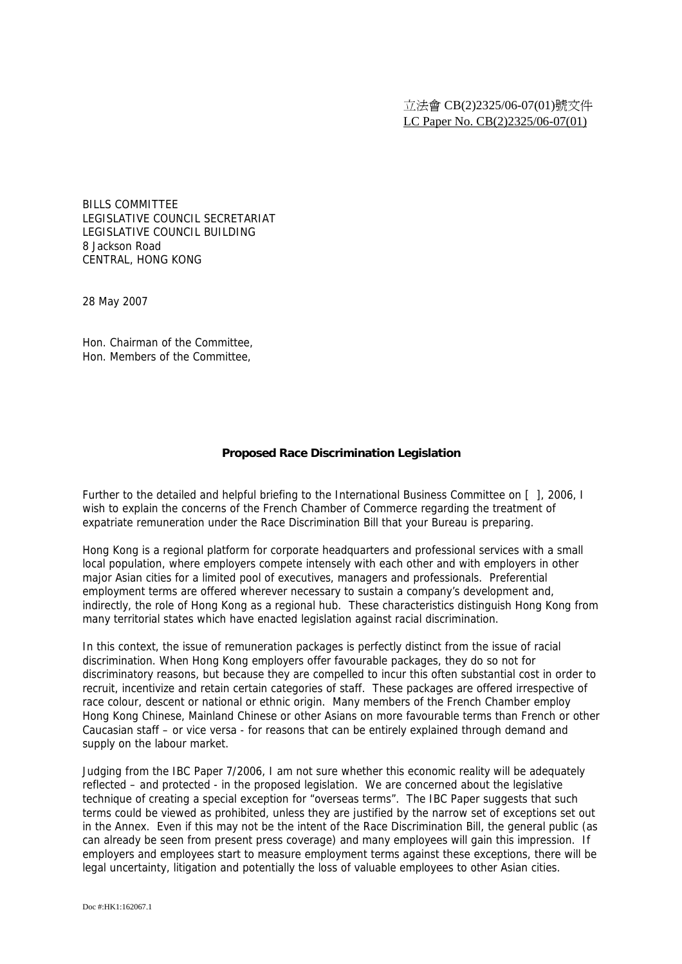BILLS COMMITTEE LEGISLATIVE COUNCIL SECRETARIAT LEGISLATIVE COUNCIL BUILDING 8 Jackson Road CENTRAL, HONG KONG

28 May 2007

Hon. Chairman of the Committee, Hon. Members of the Committee,

## **Proposed Race Discrimination Legislation**

Further to the detailed and helpful briefing to the International Business Committee on [ ], 2006, I wish to explain the concerns of the French Chamber of Commerce regarding the treatment of expatriate remuneration under the Race Discrimination Bill that your Bureau is preparing.

Hong Kong is a regional platform for corporate headquarters and professional services with a small local population, where employers compete intensely with each other and with employers in other major Asian cities for a limited pool of executives, managers and professionals. Preferential employment terms are offered wherever necessary to sustain a company's development and, indirectly, the role of Hong Kong as a regional hub. These characteristics distinguish Hong Kong from many territorial states which have enacted legislation against racial discrimination.

In this context, the issue of remuneration packages is perfectly distinct from the issue of racial discrimination. When Hong Kong employers offer favourable packages, they do so not for discriminatory reasons, but because they are compelled to incur this often substantial cost in order to recruit, incentivize and retain certain categories of staff. These packages are offered irrespective of race colour, descent or national or ethnic origin. Many members of the French Chamber employ Hong Kong Chinese, Mainland Chinese or other Asians on more favourable terms than French or other Caucasian staff – or vice versa - for reasons that can be entirely explained through demand and supply on the labour market.

Judging from the IBC Paper 7/2006, I am not sure whether this economic reality will be adequately reflected – and protected - in the proposed legislation. We are concerned about the legislative technique of creating a special exception for "overseas terms". The IBC Paper suggests that such terms could be viewed as prohibited, unless they are justified by the narrow set of exceptions set out in the Annex. Even if this may not be the intent of the Race Discrimination Bill, the general public (as can already be seen from present press coverage) and many employees will gain this impression. If employers and employees start to measure employment terms against these exceptions, there will be legal uncertainty, litigation and potentially the loss of valuable employees to other Asian cities.